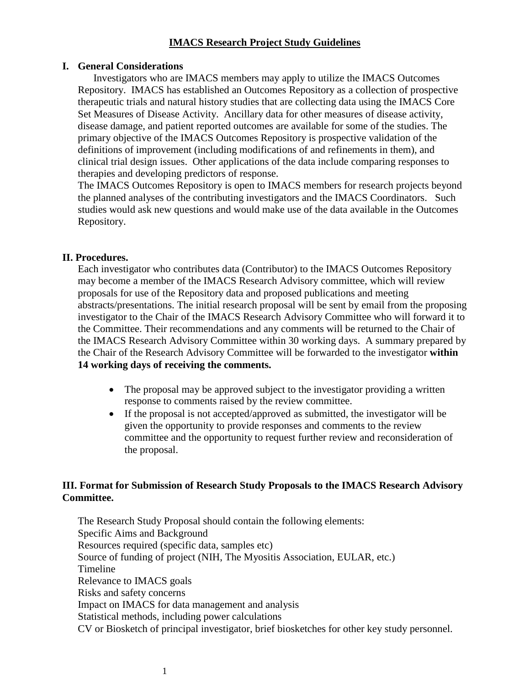## **IMACS Research Project Study Guidelines**

#### **I. General Considerations**

 Investigators who are IMACS members may apply to utilize the IMACS Outcomes Repository. IMACS has established an Outcomes Repository as a collection of prospective therapeutic trials and natural history studies that are collecting data using the IMACS Core Set Measures of Disease Activity. Ancillary data for other measures of disease activity, disease damage, and patient reported outcomes are available for some of the studies. The primary objective of the IMACS Outcomes Repository is prospective validation of the definitions of improvement (including modifications of and refinements in them), and clinical trial design issues. Other applications of the data include comparing responses to therapies and developing predictors of response.

The IMACS Outcomes Repository is open to IMACS members for research projects beyond the planned analyses of the contributing investigators and the IMACS Coordinators. Such studies would ask new questions and would make use of the data available in the Outcomes Repository.

#### **II. Procedures.**

Each investigator who contributes data (Contributor) to the IMACS Outcomes Repository may become a member of the IMACS Research Advisory committee, which will review proposals for use of the Repository data and proposed publications and meeting abstracts/presentations. The initial research proposal will be sent by email from the proposing investigator to the Chair of the IMACS Research Advisory Committee who will forward it to the Committee. Their recommendations and any comments will be returned to the Chair of the IMACS Research Advisory Committee within 30 working days. A summary prepared by the Chair of the Research Advisory Committee will be forwarded to the investigator **within 14 working days of receiving the comments.**

- The proposal may be approved subject to the investigator providing a written response to comments raised by the review committee.
- If the proposal is not accepted/approved as submitted, the investigator will be given the opportunity to provide responses and comments to the review committee and the opportunity to request further review and reconsideration of the proposal.

#### **III. Format for Submission of Research Study Proposals to the IMACS Research Advisory Committee.**

The Research Study Proposal should contain the following elements: Specific Aims and Background Resources required (specific data, samples etc) Source of funding of project (NIH, The Myositis Association, EULAR, etc.) Timeline Relevance to IMACS goals Risks and safety concerns Impact on IMACS for data management and analysis Statistical methods, including power calculations CV or Biosketch of principal investigator, brief biosketches for other key study personnel.